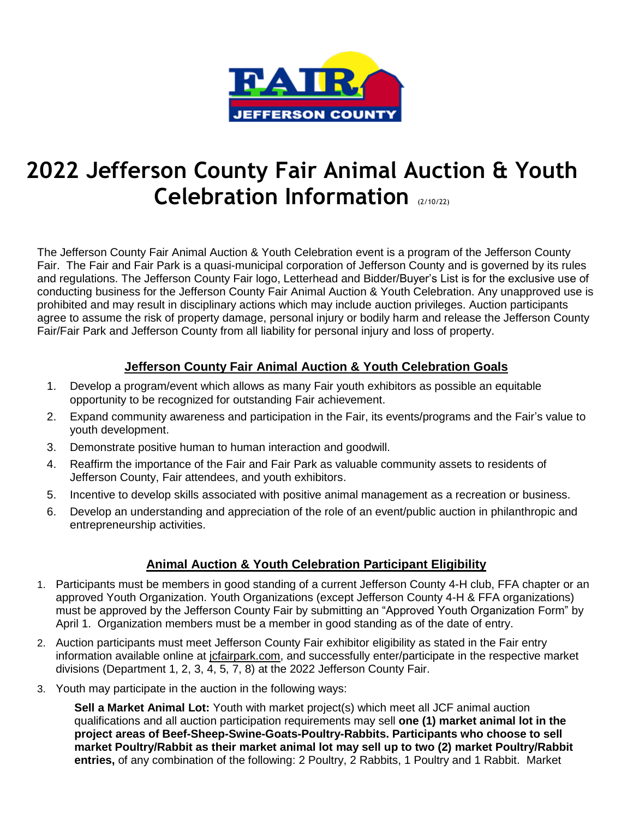

# **2022 Jefferson County Fair Animal Auction & Youth Celebration Information** (2/10/22)

The Jefferson County Fair Animal Auction & Youth Celebration event is a program of the Jefferson County Fair. The Fair and Fair Park is a quasi-municipal corporation of Jefferson County and is governed by its rules and regulations. The Jefferson County Fair logo, Letterhead and Bidder/Buyer's List is for the exclusive use of conducting business for the Jefferson County Fair Animal Auction & Youth Celebration. Any unapproved use is prohibited and may result in disciplinary actions which may include auction privileges. Auction participants agree to assume the risk of property damage, personal injury or bodily harm and release the Jefferson County Fair/Fair Park and Jefferson County from all liability for personal injury and loss of property.

# **Jefferson County Fair Animal Auction & Youth Celebration Goals**

- 1. Develop a program/event which allows as many Fair youth exhibitors as possible an equitable opportunity to be recognized for outstanding Fair achievement.
- 2. Expand community awareness and participation in the Fair, its events/programs and the Fair's value to youth development.
- 3. Demonstrate positive human to human interaction and goodwill.
- 4. Reaffirm the importance of the Fair and Fair Park as valuable community assets to residents of Jefferson County, Fair attendees, and youth exhibitors.
- 5. Incentive to develop skills associated with positive animal management as a recreation or business.
- 6. Develop an understanding and appreciation of the role of an event/public auction in philanthropic and entrepreneurship activities.

# **Animal Auction & Youth Celebration Participant Eligibility**

- 1. Participants must be members in good standing of a current Jefferson County 4-H club, FFA chapter or an approved Youth Organization. Youth Organizations (except Jefferson County 4-H & FFA organizations) must be approved by the Jefferson County Fair by submitting an "Approved Youth Organization Form" by April 1. Organization members must be a member in good standing as of the date of entry.
- 2. Auction participants must meet Jefferson County Fair exhibitor eligibility as stated in the Fair entry information available online at jofairpark.com, and successfully enter/participate in the respective market divisions (Department 1, 2, 3, 4, 5, 7, 8) at the 2022 Jefferson County Fair.
- 3. Youth may participate in the auction in the following ways:

**Sell a Market Animal Lot:** Youth with market project(s) which meet all JCF animal auction qualifications and all auction participation requirements may sell **one (1) market animal lot in the project areas of Beef-Sheep-Swine-Goats-Poultry-Rabbits. Participants who choose to sell market Poultry/Rabbit as their market animal lot may sell up to two (2) market Poultry/Rabbit entries,** of any combination of the following: 2 Poultry, 2 Rabbits, 1 Poultry and 1 Rabbit. Market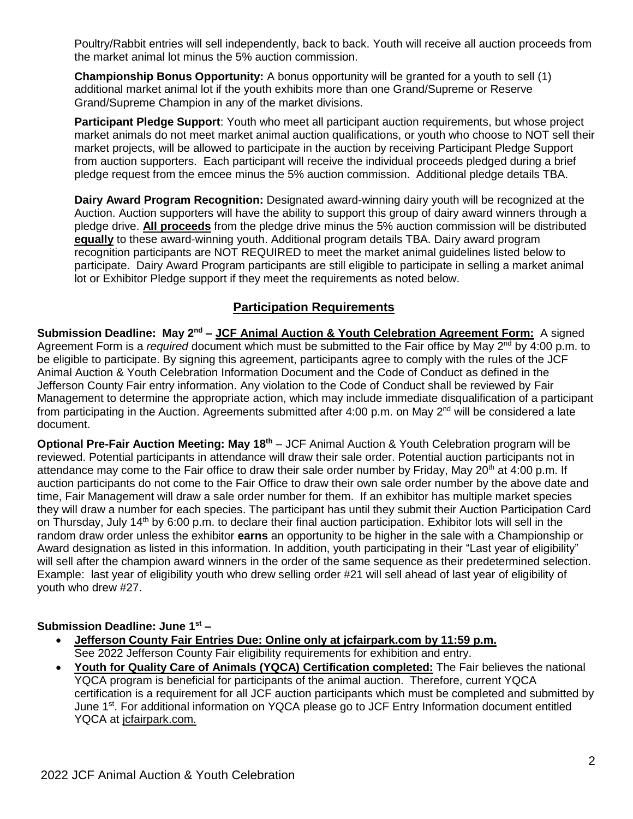Poultry/Rabbit entries will sell independently, back to back. Youth will receive all auction proceeds from the market animal lot minus the 5% auction commission.

**Championship Bonus Opportunity:** A bonus opportunity will be granted for a youth to sell (1) additional market animal lot if the youth exhibits more than one Grand/Supreme or Reserve Grand/Supreme Champion in any of the market divisions.

**Participant Pledge Support**: Youth who meet all participant auction requirements, but whose project market animals do not meet market animal auction qualifications, or youth who choose to NOT sell their market projects, will be allowed to participate in the auction by receiving Participant Pledge Support from auction supporters. Each participant will receive the individual proceeds pledged during a brief pledge request from the emcee minus the 5% auction commission. Additional pledge details TBA.

**Dairy Award Program Recognition:** Designated award-winning dairy youth will be recognized at the Auction. Auction supporters will have the ability to support this group of dairy award winners through a pledge drive. **All proceeds** from the pledge drive minus the 5% auction commission will be distributed **equally** to these award-winning youth. Additional program details TBA. Dairy award program recognition participants are NOT REQUIRED to meet the market animal guidelines listed below to participate. Dairy Award Program participants are still eligible to participate in selling a market animal lot or Exhibitor Pledge support if they meet the requirements as noted below.

# **Participation Requirements**

**Submission Deadline: May 2<sup>nd</sup> – JCF Animal Auction & Youth Celebration Agreement Form:** A signed Agreement Form is a *required* document which must be submitted to the Fair office by May 2<sup>nd</sup> by 4:00 p.m. to be eligible to participate. By signing this agreement, participants agree to comply with the rules of the JCF Animal Auction & Youth Celebration Information Document and the Code of Conduct as defined in the Jefferson County Fair entry information. Any violation to the Code of Conduct shall be reviewed by Fair Management to determine the appropriate action, which may include immediate disqualification of a participant from participating in the Auction. Agreements submitted after 4:00 p.m. on May  $2^{nd}$  will be considered a late document.

**Optional Pre-Fair Auction Meeting: May 18th** – JCF Animal Auction & Youth Celebration program will be reviewed. Potential participants in attendance will draw their sale order. Potential auction participants not in attendance may come to the Fair office to draw their sale order number by Friday, May 20<sup>th</sup> at 4:00 p.m. If auction participants do not come to the Fair Office to draw their own sale order number by the above date and time, Fair Management will draw a sale order number for them. If an exhibitor has multiple market species they will draw a number for each species. The participant has until they submit their Auction Participation Card on Thursday, July 14th by 6:00 p.m. to declare their final auction participation. Exhibitor lots will sell in the random draw order unless the exhibitor **earns** an opportunity to be higher in the sale with a Championship or Award designation as listed in this information. In addition, youth participating in their "Last year of eligibility" will sell after the champion award winners in the order of the same sequence as their predetermined selection. Example: last year of eligibility youth who drew selling order #21 will sell ahead of last year of eligibility of youth who drew #27.

## **Submission Deadline: June 1st –**

- **Jefferson County Fair Entries Due: Online only at jcfairpark.com by 11:59 p.m.**  See 2022 Jefferson County Fair eligibility requirements for exhibition and entry.
- **Youth for Quality Care of Animals (YQCA) Certification completed:** The Fair believes the national YQCA program is beneficial for participants of the animal auction.Therefore, current YQCA certification is a requirement for all JCF auction participants which must be completed and submitted by June 1<sup>st</sup>. For additional information on YQCA please go to JCF Entry Information document entitled YQCA at jcfairpark.com.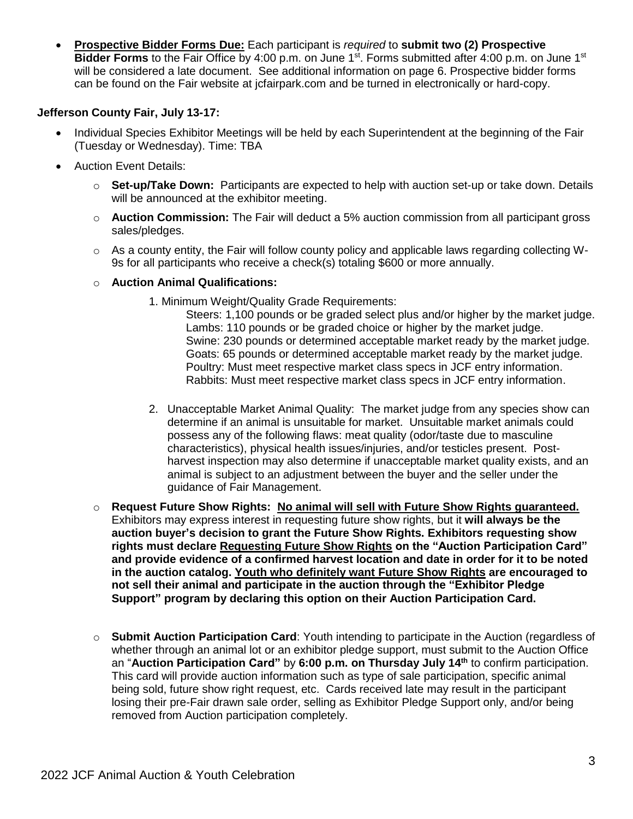• **Prospective Bidder Forms Due:** Each participant is *required* to **submit two (2) Prospective**  Bidder Forms to the Fair Office by 4:00 p.m. on June 1<sup>st</sup>. Forms submitted after 4:00 p.m. on June 1<sup>st</sup> will be considered a late document. See additional information on page 6. Prospective bidder forms can be found on the Fair website at jcfairpark.com and be turned in electronically or hard-copy.

## **Jefferson County Fair, July 13-17:**

- Individual Species Exhibitor Meetings will be held by each Superintendent at the beginning of the Fair (Tuesday or Wednesday). Time: TBA
- Auction Event Details:
	- o **Set-up/Take Down:** Participants are expected to help with auction set-up or take down. Details will be announced at the exhibitor meeting.
	- o **Auction Commission:** The Fair will deduct a 5% auction commission from all participant gross sales/pledges.
	- o As a county entity, the Fair will follow county policy and applicable laws regarding collecting W-9s for all participants who receive a check(s) totaling \$600 or more annually.
	- o **Auction Animal Qualifications:** 
		- 1. Minimum Weight/Quality Grade Requirements:

Steers: 1,100 pounds or be graded select plus and/or higher by the market judge. Lambs: 110 pounds or be graded choice or higher by the market judge. Swine: 230 pounds or determined acceptable market ready by the market judge. Goats: 65 pounds or determined acceptable market ready by the market judge. Poultry: Must meet respective market class specs in JCF entry information. Rabbits: Must meet respective market class specs in JCF entry information.

- 2. Unacceptable Market Animal Quality: The market judge from any species show can determine if an animal is unsuitable for market. Unsuitable market animals could possess any of the following flaws: meat quality (odor/taste due to masculine characteristics), physical health issues/injuries, and/or testicles present. Postharvest inspection may also determine if unacceptable market quality exists, and an animal is subject to an adjustment between the buyer and the seller under the guidance of Fair Management.
- o **Request Future Show Rights: No animal will sell with Future Show Rights guaranteed.** Exhibitors may express interest in requesting future show rights, but it **will always be the auction buyer's decision to grant the Future Show Rights. Exhibitors requesting show rights must declare Requesting Future Show Rights on the "Auction Participation Card" and provide evidence of a confirmed harvest location and date in order for it to be noted in the auction catalog. Youth who definitely want Future Show Rights are encouraged to not sell their animal and participate in the auction through the "Exhibitor Pledge Support" program by declaring this option on their Auction Participation Card.**
- o **Submit Auction Participation Card**: Youth intending to participate in the Auction (regardless of whether through an animal lot or an exhibitor pledge support, must submit to the Auction Office an "**Auction Participation Card"** by **6:00 p.m. on Thursday July 14th** to confirm participation. This card will provide auction information such as type of sale participation, specific animal being sold, future show right request, etc. Cards received late may result in the participant losing their pre-Fair drawn sale order, selling as Exhibitor Pledge Support only, and/or being removed from Auction participation completely.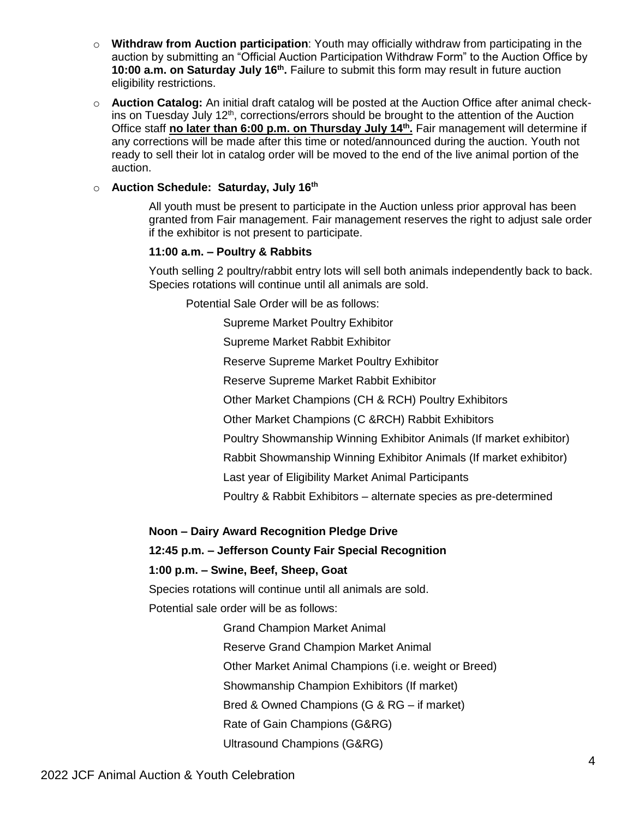- o **Withdraw from Auction participation**: Youth may officially withdraw from participating in the auction by submitting an "Official Auction Participation Withdraw Form" to the Auction Office by 10:00 a.m. on Saturday July 16<sup>th</sup>. Failure to submit this form may result in future auction eligibility restrictions.
- o **Auction Catalog:** An initial draft catalog will be posted at the Auction Office after animal checkins on Tuesday July 12<sup>th</sup>, corrections/errors should be brought to the attention of the Auction Office staff **no later than 6:00 p.m. on Thursday July 14th .** Fair management will determine if any corrections will be made after this time or noted/announced during the auction. Youth not ready to sell their lot in catalog order will be moved to the end of the live animal portion of the auction.

## o **Auction Schedule: Saturday, July 16 th**

All youth must be present to participate in the Auction unless prior approval has been granted from Fair management. Fair management reserves the right to adjust sale order if the exhibitor is not present to participate.

## **11:00 a.m. – Poultry & Rabbits**

Youth selling 2 poultry/rabbit entry lots will sell both animals independently back to back. Species rotations will continue until all animals are sold.

Potential Sale Order will be as follows:

Supreme Market Poultry Exhibitor

Supreme Market Rabbit Exhibitor

Reserve Supreme Market Poultry Exhibitor

Reserve Supreme Market Rabbit Exhibitor

Other Market Champions (CH & RCH) Poultry Exhibitors

Other Market Champions (C &RCH) Rabbit Exhibitors

Poultry Showmanship Winning Exhibitor Animals (If market exhibitor)

Rabbit Showmanship Winning Exhibitor Animals (If market exhibitor)

Last year of Eligibility Market Animal Participants

Poultry & Rabbit Exhibitors – alternate species as pre-determined

**Noon – Dairy Award Recognition Pledge Drive**

## **12:45 p.m. – Jefferson County Fair Special Recognition**

## **1:00 p.m. – Swine, Beef, Sheep, Goat**

Species rotations will continue until all animals are sold.

Potential sale order will be as follows:

Grand Champion Market Animal

Reserve Grand Champion Market Animal

Other Market Animal Champions (i.e. weight or Breed)

Showmanship Champion Exhibitors (If market)

Bred & Owned Champions (G & RG – if market)

Rate of Gain Champions (G&RG)

Ultrasound Champions (G&RG)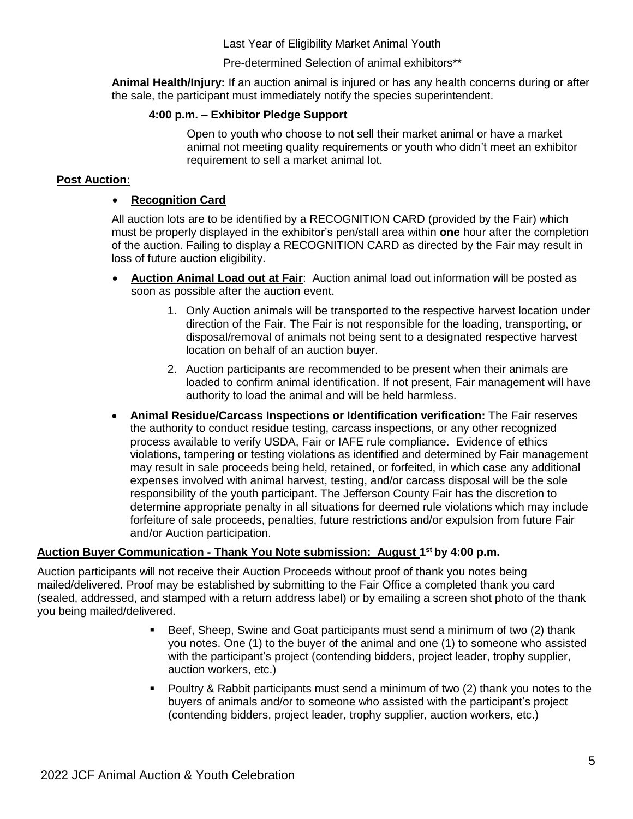Last Year of Eligibility Market Animal Youth

Pre-determined Selection of animal exhibitors\*\*

**Animal Health/Injury:** If an auction animal is injured or has any health concerns during or after the sale, the participant must immediately notify the species superintendent.

#### **4:00 p.m. – Exhibitor Pledge Support**

Open to youth who choose to not sell their market animal or have a market animal not meeting quality requirements or youth who didn't meet an exhibitor requirement to sell a market animal lot.

## **Post Auction:**

#### • **Recognition Card**

All auction lots are to be identified by a RECOGNITION CARD (provided by the Fair) which must be properly displayed in the exhibitor's pen/stall area within **one** hour after the completion of the auction. Failing to display a RECOGNITION CARD as directed by the Fair may result in loss of future auction eligibility.

- **Auction Animal Load out at Fair**: Auction animal load out information will be posted as soon as possible after the auction event.
	- 1. Only Auction animals will be transported to the respective harvest location under direction of the Fair. The Fair is not responsible for the loading, transporting, or disposal/removal of animals not being sent to a designated respective harvest location on behalf of an auction buyer.
	- 2. Auction participants are recommended to be present when their animals are loaded to confirm animal identification. If not present, Fair management will have authority to load the animal and will be held harmless.
- **Animal Residue/Carcass Inspections or Identification verification:** The Fair reserves the authority to conduct residue testing, carcass inspections, or any other recognized process available to verify USDA, Fair or IAFE rule compliance. Evidence of ethics violations, tampering or testing violations as identified and determined by Fair management may result in sale proceeds being held, retained, or forfeited, in which case any additional expenses involved with animal harvest, testing, and/or carcass disposal will be the sole responsibility of the youth participant. The Jefferson County Fair has the discretion to determine appropriate penalty in all situations for deemed rule violations which may include forfeiture of sale proceeds, penalties, future restrictions and/or expulsion from future Fair and/or Auction participation.

## **Auction Buyer Communication - Thank You Note submission: August 1 st by 4:00 p.m.**

Auction participants will not receive their Auction Proceeds without proof of thank you notes being mailed/delivered. Proof may be established by submitting to the Fair Office a completed thank you card (sealed, addressed, and stamped with a return address label) or by emailing a screen shot photo of the thank you being mailed/delivered.

- Beef, Sheep, Swine and Goat participants must send a minimum of two (2) thank you notes. One (1) to the buyer of the animal and one (1) to someone who assisted with the participant's project (contending bidders, project leader, trophy supplier, auction workers, etc.)
- Poultry & Rabbit participants must send a minimum of two (2) thank you notes to the buyers of animals and/or to someone who assisted with the participant's project (contending bidders, project leader, trophy supplier, auction workers, etc.)